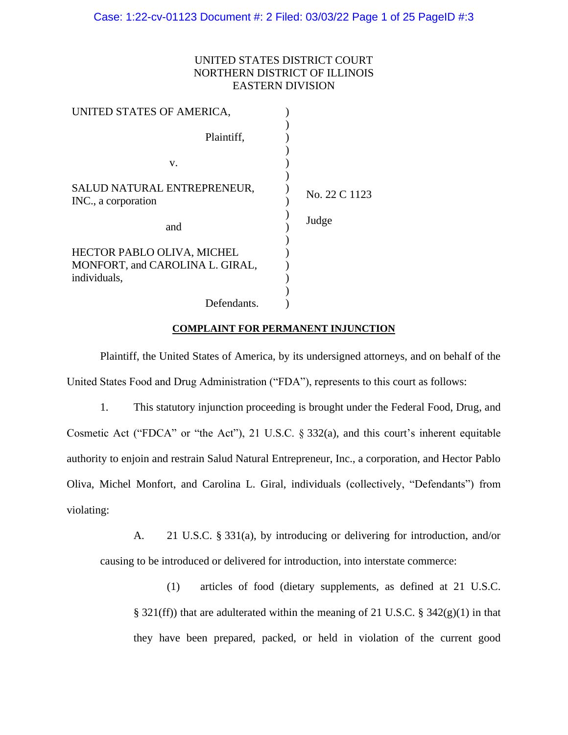## UNITED STATES DISTRICT COURT NORTHERN DISTRICT OF ILLINOIS EASTERN DIVISION

| UNITED STATES OF AMERICA,                                                            |               |
|--------------------------------------------------------------------------------------|---------------|
| Plaintiff,                                                                           |               |
| V.                                                                                   |               |
| SALUD NATURAL ENTREPRENEUR,<br>INC., a corporation                                   | No. 22 C 1123 |
| and                                                                                  | Judge         |
| <b>HECTOR PABLO OLIVA, MICHEL</b><br>MONFORT, and CAROLINA L. GIRAL,<br>individuals, |               |
| Defendants.                                                                          |               |

#### **COMPLAINT FOR PERMANENT INJUNCTION**

Plaintiff, the United States of America, by its undersigned attorneys, and on behalf of the United States Food and Drug Administration ("FDA"), represents to this court as follows:

1. This statutory injunction proceeding is brought under the Federal Food, Drug, and Cosmetic Act ("FDCA" or "the Act"), 21 U.S.C. § 332(a), and this court's inherent equitable authority to enjoin and restrain Salud Natural Entrepreneur, Inc., a corporation, and Hector Pablo Oliva, Michel Monfort, and Carolina L. Giral, individuals (collectively, "Defendants") from violating:

A. 21 U.S.C. § 331(a), by introducing or delivering for introduction, and/or causing to be introduced or delivered for introduction, into interstate commerce:

(1) articles of food (dietary supplements, as defined at 21 U.S.C. § 321(ff)) that are adulterated within the meaning of 21 U.S.C. § 342(g)(1) in that they have been prepared, packed, or held in violation of the current good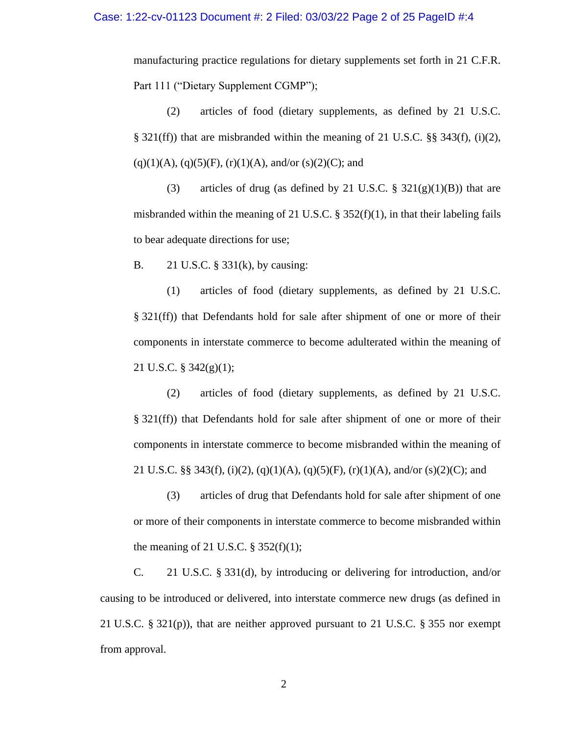manufacturing practice regulations for dietary supplements set forth in 21 C.F.R. Part 111 ("Dietary Supplement CGMP");

(2) articles of food (dietary supplements, as defined by 21 U.S.C. § 321(ff)) that are misbranded within the meaning of 21 U.S.C. §§ 343(f), (i)(2),  $(q)(1)(A)$ ,  $(q)(5)(F)$ ,  $(r)(1)(A)$ , and/or  $(s)(2)(C)$ ; and

(3) articles of drug (as defined by 21 U.S.C.  $\S$  321(g)(1)(B)) that are misbranded within the meaning of 21 U.S.C. § 352(f)(1), in that their labeling fails to bear adequate directions for use;

B. 21 U.S.C. § 331(k), by causing:

(1) articles of food (dietary supplements, as defined by 21 U.S.C. § 321(ff)) that Defendants hold for sale after shipment of one or more of their components in interstate commerce to become adulterated within the meaning of 21 U.S.C. § 342(g)(1);

(2) articles of food (dietary supplements, as defined by 21 U.S.C. § 321(ff)) that Defendants hold for sale after shipment of one or more of their components in interstate commerce to become misbranded within the meaning of 21 U.S.C. §§ 343(f), (i)(2), (q)(1)(A), (q)(5)(F), (r)(1)(A), and/or (s)(2)(C); and

(3) articles of drug that Defendants hold for sale after shipment of one or more of their components in interstate commerce to become misbranded within the meaning of 21 U.S.C.  $\S$  352(f)(1);

C. 21 U.S.C. § 331(d), by introducing or delivering for introduction, and/or causing to be introduced or delivered, into interstate commerce new drugs (as defined in 21 U.S.C.  $\S 321(p)$ , that are neither approved pursuant to 21 U.S.C.  $\S 355$  nor exempt from approval.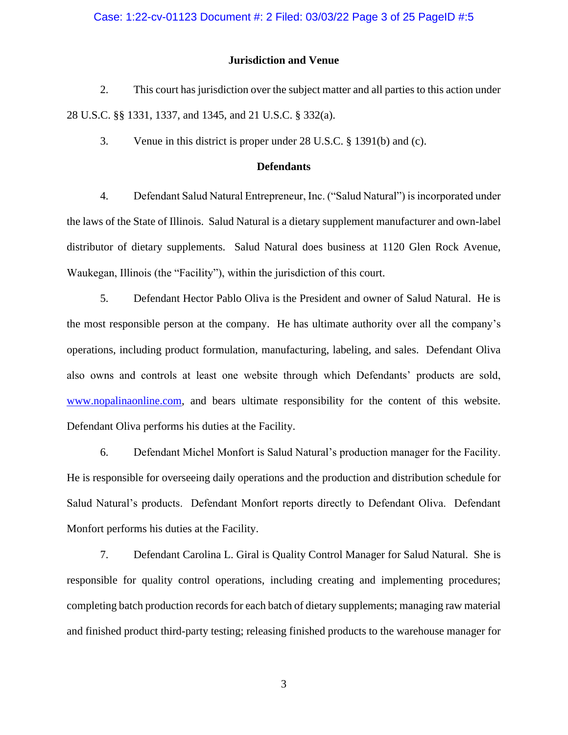### Case: 1:22-cv-01123 Document #: 2 Filed: 03/03/22 Page 3 of 25 PageID #:5

### **Jurisdiction and Venue**

2. This court has jurisdiction over the subject matter and all parties to this action under 28 U.S.C. §§ 1331, 1337, and 1345, and 21 U.S.C. § 332(a).

3. Venue in this district is proper under 28 U.S.C. § 1391(b) and (c).

#### **Defendants**

4. Defendant Salud Natural Entrepreneur, Inc. ("Salud Natural") is incorporated under the laws of the State of Illinois. Salud Natural is a dietary supplement manufacturer and own-label distributor of dietary supplements. Salud Natural does business at 1120 Glen Rock Avenue, Waukegan, Illinois (the "Facility"), within the jurisdiction of this court.

5. Defendant Hector Pablo Oliva is the President and owner of Salud Natural. He is the most responsible person at the company. He has ultimate authority over all the company's operations, including product formulation, manufacturing, labeling, and sales. Defendant Oliva also owns and controls at least one website through which Defendants' products are sold, [www.nopalinaonline.com,](http://www.nopalinaonline.com/) and bears ultimate responsibility for the content of this website. Defendant Oliva performs his duties at the Facility.

6. Defendant Michel Monfort is Salud Natural's production manager for the Facility. He is responsible for overseeing daily operations and the production and distribution schedule for Salud Natural's products. Defendant Monfort reports directly to Defendant Oliva. Defendant Monfort performs his duties at the Facility.

7. Defendant Carolina L. Giral is Quality Control Manager for Salud Natural. She is responsible for quality control operations, including creating and implementing procedures; completing batch production records for each batch of dietary supplements; managing raw material and finished product third-party testing; releasing finished products to the warehouse manager for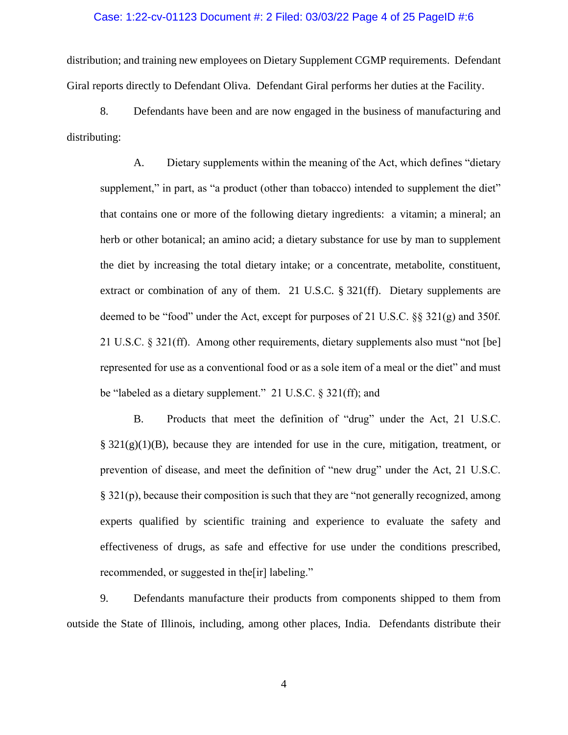#### Case: 1:22-cv-01123 Document #: 2 Filed: 03/03/22 Page 4 of 25 PageID #:6

distribution; and training new employees on Dietary Supplement CGMP requirements. Defendant Giral reports directly to Defendant Oliva. Defendant Giral performs her duties at the Facility.

8. Defendants have been and are now engaged in the business of manufacturing and distributing:

A. Dietary supplements within the meaning of the Act, which defines "dietary supplement," in part, as "a product (other than tobacco) intended to supplement the diet" that contains one or more of the following dietary ingredients: a vitamin; a mineral; an herb or other botanical; an amino acid; a dietary substance for use by man to supplement the diet by increasing the total dietary intake; or a concentrate, metabolite, constituent, extract or combination of any of them. 21 U.S.C. § 321(ff). Dietary supplements are deemed to be "food" under the Act, except for purposes of 21 U.S.C. §§ 321(g) and 350f. 21 U.S.C. § 321(ff). Among other requirements, dietary supplements also must "not [be] represented for use as a conventional food or as a sole item of a meal or the diet" and must be "labeled as a dietary supplement." 21 U.S.C. § 321(ff); and

B. Products that meet the definition of "drug" under the Act, 21 U.S.C.  $\S 321(g)(1)(B)$ , because they are intended for use in the cure, mitigation, treatment, or prevention of disease, and meet the definition of "new drug" under the Act, 21 U.S.C. § 321(p), because their composition is such that they are "not generally recognized, among experts qualified by scientific training and experience to evaluate the safety and effectiveness of drugs, as safe and effective for use under the conditions prescribed, recommended, or suggested in the[ir] labeling."

9. Defendants manufacture their products from components shipped to them from outside the State of Illinois, including, among other places, India. Defendants distribute their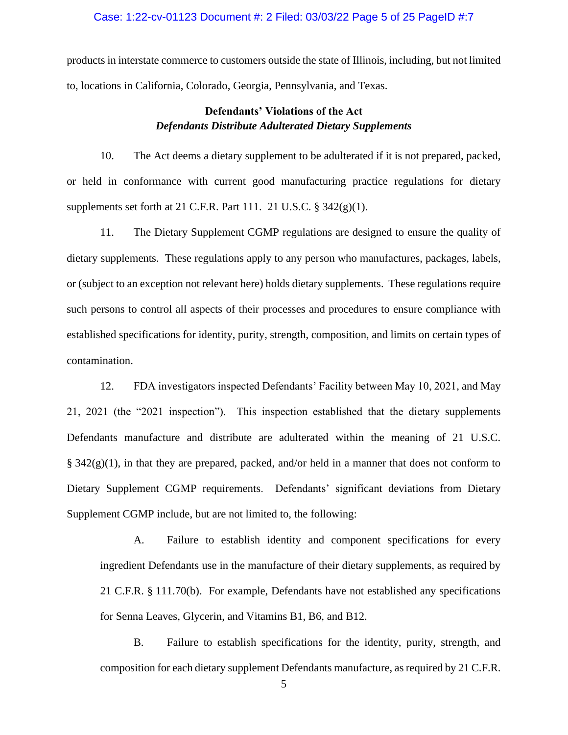## Case: 1:22-cv-01123 Document #: 2 Filed: 03/03/22 Page 5 of 25 PageID #:7

products in interstate commerce to customers outside the state of Illinois, including, but not limited to, locations in California, Colorado, Georgia, Pennsylvania, and Texas.

# **Defendants' Violations of the Act** *Defendants Distribute Adulterated Dietary Supplements*

10. The Act deems a dietary supplement to be adulterated if it is not prepared, packed, or held in conformance with current good manufacturing practice regulations for dietary supplements set forth at 21 C.F.R. Part 111. 21 U.S.C.  $\S$  342(g)(1).

11. The Dietary Supplement CGMP regulations are designed to ensure the quality of dietary supplements. These regulations apply to any person who manufactures, packages, labels, or (subject to an exception not relevant here) holds dietary supplements. These regulations require such persons to control all aspects of their processes and procedures to ensure compliance with established specifications for identity, purity, strength, composition, and limits on certain types of contamination.

12. FDA investigators inspected Defendants' Facility between May 10, 2021, and May 21, 2021 (the "2021 inspection"). This inspection established that the dietary supplements Defendants manufacture and distribute are adulterated within the meaning of 21 U.S.C.  $\S 342(g)(1)$ , in that they are prepared, packed, and/or held in a manner that does not conform to Dietary Supplement CGMP requirements. Defendants' significant deviations from Dietary Supplement CGMP include, but are not limited to, the following:

A. Failure to establish identity and component specifications for every ingredient Defendants use in the manufacture of their dietary supplements, as required by 21 C.F.R. § 111.70(b). For example, Defendants have not established any specifications for Senna Leaves, Glycerin, and Vitamins B1, B6, and B12.

B. Failure to establish specifications for the identity, purity, strength, and composition for each dietary supplement Defendants manufacture, as required by 21 C.F.R.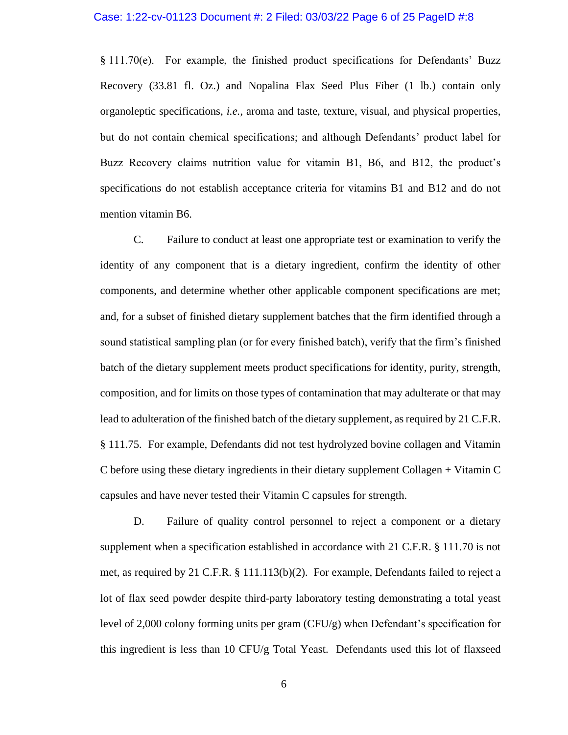§ 111.70(e). For example, the finished product specifications for Defendants' Buzz Recovery (33.81 fl. Oz.) and Nopalina Flax Seed Plus Fiber (1 lb.) contain only organoleptic specifications, *i.e.*, aroma and taste, texture, visual, and physical properties, but do not contain chemical specifications; and although Defendants' product label for Buzz Recovery claims nutrition value for vitamin B1, B6, and B12, the product's specifications do not establish acceptance criteria for vitamins B1 and B12 and do not mention vitamin B6.

C. Failure to conduct at least one appropriate test or examination to verify the identity of any component that is a dietary ingredient, confirm the identity of other components, and determine whether other applicable component specifications are met; and, for a subset of finished dietary supplement batches that the firm identified through a sound statistical sampling plan (or for every finished batch), verify that the firm's finished batch of the dietary supplement meets product specifications for identity, purity, strength, composition, and for limits on those types of contamination that may adulterate or that may lead to adulteration of the finished batch of the dietary supplement, as required by 21 C.F.R. § 111.75. For example, Defendants did not test hydrolyzed bovine collagen and Vitamin C before using these dietary ingredients in their dietary supplement Collagen + Vitamin C capsules and have never tested their Vitamin C capsules for strength.

D. Failure of quality control personnel to reject a component or a dietary supplement when a specification established in accordance with 21 C.F.R. § 111.70 is not met, as required by 21 C.F.R. § 111.113(b)(2). For example, Defendants failed to reject a lot of flax seed powder despite third-party laboratory testing demonstrating a total yeast level of 2,000 colony forming units per gram (CFU/g) when Defendant's specification for this ingredient is less than 10 CFU/g Total Yeast. Defendants used this lot of flaxseed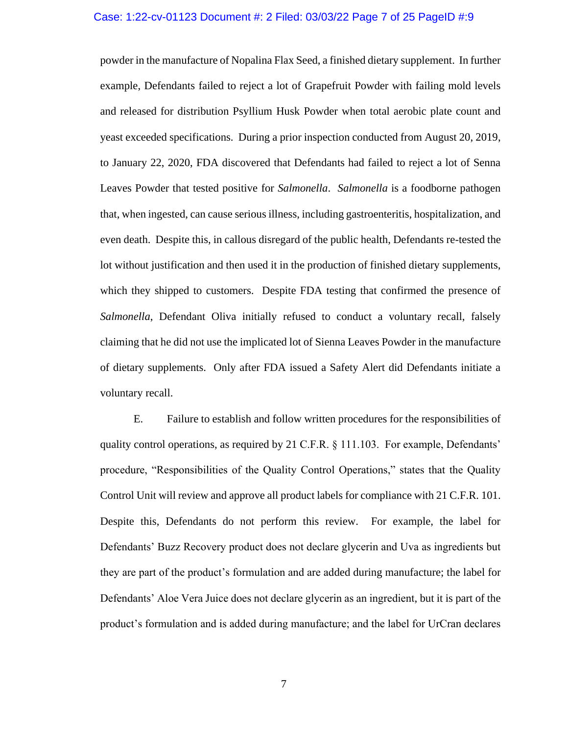#### Case: 1:22-cv-01123 Document #: 2 Filed: 03/03/22 Page 7 of 25 PageID #:9

powder in the manufacture of Nopalina Flax Seed, a finished dietary supplement. In further example, Defendants failed to reject a lot of Grapefruit Powder with failing mold levels and released for distribution Psyllium Husk Powder when total aerobic plate count and yeast exceeded specifications. During a prior inspection conducted from August 20, 2019, to January 22, 2020, FDA discovered that Defendants had failed to reject a lot of Senna Leaves Powder that tested positive for *Salmonella*. *Salmonella* is a foodborne pathogen that, when ingested, can cause serious illness, including gastroenteritis, hospitalization, and even death. Despite this, in callous disregard of the public health, Defendants re-tested the lot without justification and then used it in the production of finished dietary supplements, which they shipped to customers. Despite FDA testing that confirmed the presence of *Salmonella*, Defendant Oliva initially refused to conduct a voluntary recall, falsely claiming that he did not use the implicated lot of Sienna Leaves Powder in the manufacture of dietary supplements. Only after FDA issued a Safety Alert did Defendants initiate a voluntary recall.

E. Failure to establish and follow written procedures for the responsibilities of quality control operations, as required by 21 C.F.R. § 111.103. For example, Defendants' procedure, "Responsibilities of the Quality Control Operations," states that the Quality Control Unit will review and approve all product labels for compliance with 21 C.F.R. 101. Despite this, Defendants do not perform this review. For example, the label for Defendants' Buzz Recovery product does not declare glycerin and Uva as ingredients but they are part of the product's formulation and are added during manufacture; the label for Defendants' Aloe Vera Juice does not declare glycerin as an ingredient, but it is part of the product's formulation and is added during manufacture; and the label for UrCran declares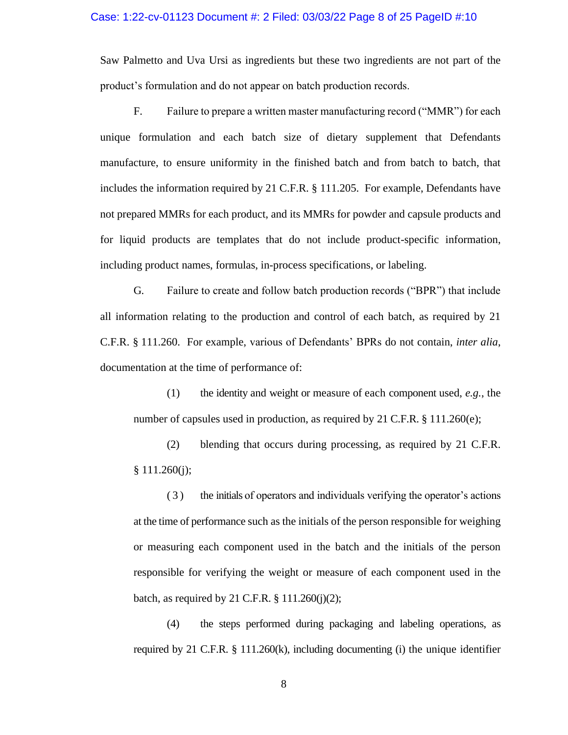Saw Palmetto and Uva Ursi as ingredients but these two ingredients are not part of the product's formulation and do not appear on batch production records.

F. Failure to prepare a written master manufacturing record ("MMR") for each unique formulation and each batch size of dietary supplement that Defendants manufacture, to ensure uniformity in the finished batch and from batch to batch, that includes the information required by 21 C.F.R. § 111.205. For example, Defendants have not prepared MMRs for each product, and its MMRs for powder and capsule products and for liquid products are templates that do not include product-specific information, including product names, formulas, in-process specifications, or labeling.

G. Failure to create and follow batch production records ("BPR") that include all information relating to the production and control of each batch, as required by 21 C.F.R. § 111.260. For example, various of Defendants' BPRs do not contain, *inter alia*, documentation at the time of performance of:

(1) the identity and weight or measure of each component used, *e.g.*, the number of capsules used in production, as required by 21 C.F.R.  $\S 111.260(e)$ ;

(2) blending that occurs during processing, as required by 21 C.F.R.  $§ 111.260(i);$ 

( 3 ) the initials of operators and individuals verifying the operator's actions at the time of performance such as the initials of the person responsible for weighing or measuring each component used in the batch and the initials of the person responsible for verifying the weight or measure of each component used in the batch, as required by 21 C.F.R.  $\S 111.260(i)(2)$ ;

(4) the steps performed during packaging and labeling operations, as required by 21 C.F.R. § 111.260(k), including documenting (i) the unique identifier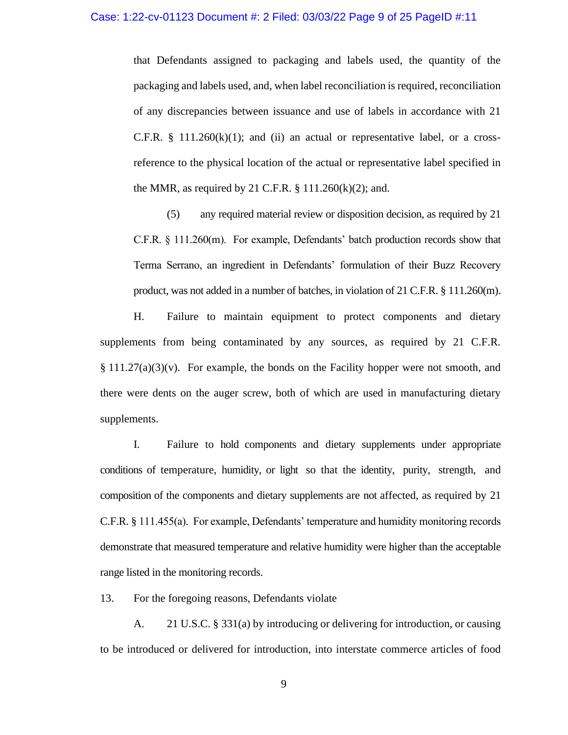that Defendants assigned to packaging and labels used, the quantity of the packaging and labels used, and, when label reconciliation is required, reconciliation of any discrepancies between issuance and use of labels in accordance with 21 C.F.R.  $\S$  111.260 $(k)(1)$ ; and  $(ii)$  an actual or representative label, or a crossreference to the physical location of the actual or representative label specified in the MMR, as required by 21 C.F.R.  $\S$  111.260(k)(2); and.

(5) any required material review or disposition decision, as required by 21 C.F.R. § 111.260(m). For example, Defendants' batch production records show that Terma Serrano, an ingredient in Defendants' formulation of their Buzz Recovery product, was not added in a number of batches, in violation of 21 C.F.R. § 111.260(m).

H. Failure to maintain equipment to protect components and dietary supplements from being contaminated by any sources, as required by 21 C.F.R.  $\S 111.27(a)(3)(v)$ . For example, the bonds on the Facility hopper were not smooth, and there were dents on the auger screw, both of which are used in manufacturing dietary supplements.

I. Failure to hold components and dietary supplements under appropriate conditions of temperature, humidity, or light so that the identity, purity, strength, and composition of the components and dietary supplements are not affected, as required by 21 C.F.R. § 111.455(a). For example, Defendants' temperature and humidity monitoring records demonstrate that measured temperature and relative humidity were higher than the acceptable range listed in the monitoring records.

13. For the foregoing reasons, Defendants violate

A. 21 U.S.C. § 331(a) by introducing or delivering for introduction, or causing to be introduced or delivered for introduction, into interstate commerce articles of food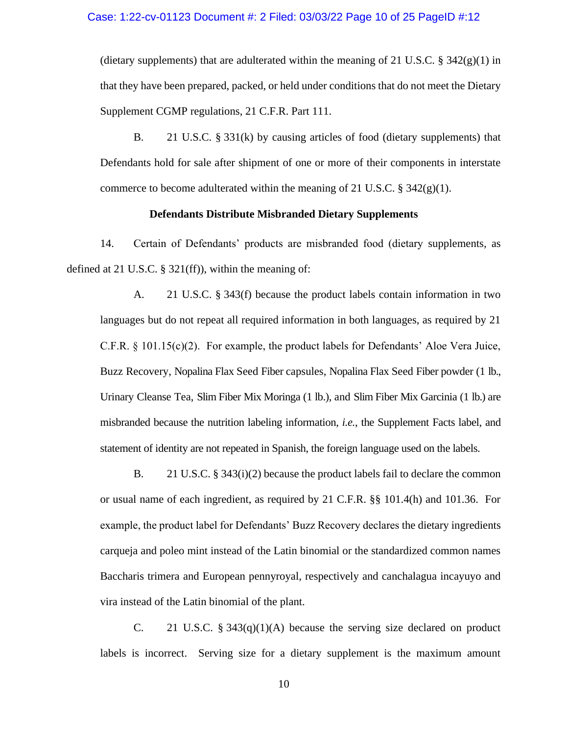(dietary supplements) that are adulterated within the meaning of 21 U.S.C. §  $342(g)(1)$  in that they have been prepared, packed, or held under conditions that do not meet the Dietary Supplement CGMP regulations, 21 C.F.R. Part 111.

B. 21 U.S.C. § 331(k) by causing articles of food (dietary supplements) that Defendants hold for sale after shipment of one or more of their components in interstate commerce to become adulterated within the meaning of 21 U.S.C. §  $342(g)(1)$ .

## **Defendants Distribute Misbranded Dietary Supplements**

14. Certain of Defendants' products are misbranded food (dietary supplements, as defined at 21 U.S.C. § 321(ff)), within the meaning of:

A. 21 U.S.C. § 343(f) because the product labels contain information in two languages but do not repeat all required information in both languages, as required by 21 C.F.R. § 101.15(c)(2). For example, the product labels for Defendants' Aloe Vera Juice, Buzz Recovery, Nopalina Flax Seed Fiber capsules, Nopalina Flax Seed Fiber powder (1 lb., Urinary Cleanse Tea, Slim Fiber Mix Moringa (1 lb.), and Slim Fiber Mix Garcinia (1 lb.) are misbranded because the nutrition labeling information, *i.e.*, the Supplement Facts label, and statement of identity are not repeated in Spanish, the foreign language used on the labels.

B. 21 U.S.C. § 343(i)(2) because the product labels fail to declare the common or usual name of each ingredient, as required by 21 C.F.R. §§ 101.4(h) and 101.36. For example, the product label for Defendants' Buzz Recovery declares the dietary ingredients carqueja and poleo mint instead of the Latin binomial or the standardized common names Baccharis trimera and European pennyroyal, respectively and canchalagua incayuyo and vira instead of the Latin binomial of the plant.

C. 21 U.S.C. §  $343(q)(1)(A)$  because the serving size declared on product labels is incorrect. Serving size for a dietary supplement is the maximum amount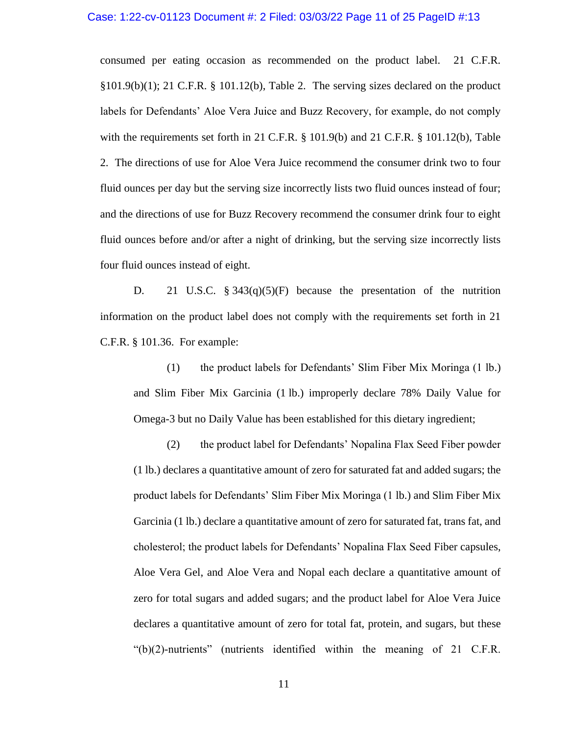## Case: 1:22-cv-01123 Document #: 2 Filed: 03/03/22 Page 11 of 25 PageID #:13

consumed per eating occasion as recommended on the product label. 21 C.F.R.  $\S 101.9(b)(1)$ ; 21 C.F.R.  $\S 101.12(b)$ , Table 2. The serving sizes declared on the product labels for Defendants' Aloe Vera Juice and Buzz Recovery, for example, do not comply with the requirements set forth in 21 C.F.R. § 101.9(b) and 21 C.F.R. § 101.12(b), Table 2. The directions of use for Aloe Vera Juice recommend the consumer drink two to four fluid ounces per day but the serving size incorrectly lists two fluid ounces instead of four; and the directions of use for Buzz Recovery recommend the consumer drink four to eight fluid ounces before and/or after a night of drinking, but the serving size incorrectly lists four fluid ounces instead of eight.

D. 21 U.S.C. § 343(q)(5)(F) because the presentation of the nutrition information on the product label does not comply with the requirements set forth in 21 C.F.R. § 101.36. For example:

(1) the product labels for Defendants' Slim Fiber Mix Moringa (1 lb.) and Slim Fiber Mix Garcinia (1 lb.) improperly declare 78% Daily Value for Omega-3 but no Daily Value has been established for this dietary ingredient;

(2) the product label for Defendants' Nopalina Flax Seed Fiber powder (1 lb.) declares a quantitative amount of zero for saturated fat and added sugars; the product labels for Defendants' Slim Fiber Mix Moringa (1 lb.) and Slim Fiber Mix Garcinia (1 lb.) declare a quantitative amount of zero for saturated fat, trans fat, and cholesterol; the product labels for Defendants' Nopalina Flax Seed Fiber capsules, Aloe Vera Gel, and Aloe Vera and Nopal each declare a quantitative amount of zero for total sugars and added sugars; and the product label for Aloe Vera Juice declares a quantitative amount of zero for total fat, protein, and sugars, but these "(b)(2)-nutrients" (nutrients identified within the meaning of 21 C.F.R.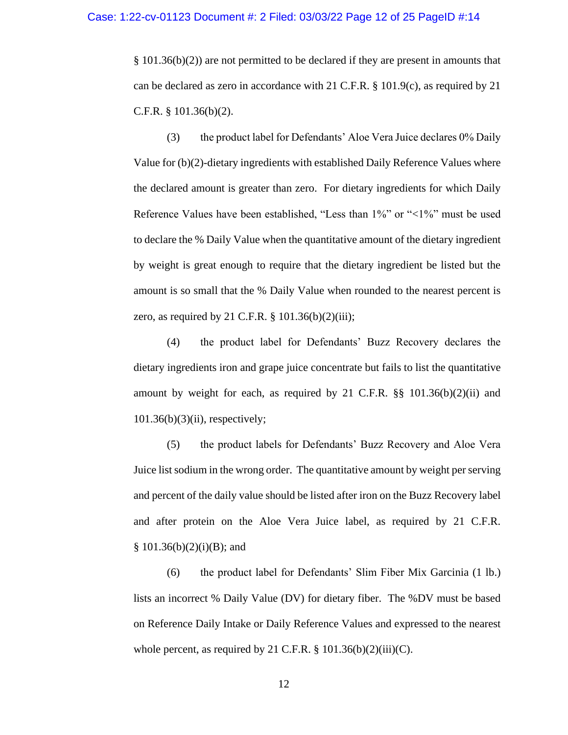§ 101.36(b)(2)) are not permitted to be declared if they are present in amounts that can be declared as zero in accordance with 21 C.F.R. § 101.9(c), as required by 21 C.F.R. § 101.36(b)(2).

(3) the product label for Defendants' Aloe Vera Juice declares 0% Daily Value for (b)(2)-dietary ingredients with established Daily Reference Values where the declared amount is greater than zero. For dietary ingredients for which Daily Reference Values have been established, "Less than 1%" or "<1%" must be used to declare the % Daily Value when the quantitative amount of the dietary ingredient by weight is great enough to require that the dietary ingredient be listed but the amount is so small that the % Daily Value when rounded to the nearest percent is zero, as required by 21 C.F.R.  $\S$  101.36(b)(2)(iii);

(4) the product label for Defendants' Buzz Recovery declares the dietary ingredients iron and grape juice concentrate but fails to list the quantitative amount by weight for each, as required by 21 C.F.R.  $\S$ § 101.36(b)(2)(ii) and  $101.36(b)(3)(ii)$ , respectively;

(5) the product labels for Defendants' Buzz Recovery and Aloe Vera Juice list sodium in the wrong order. The quantitative amount by weight per serving and percent of the daily value should be listed after iron on the Buzz Recovery label and after protein on the Aloe Vera Juice label, as required by 21 C.F.R.  $§ 101.36(b)(2)(i)(B); and$ 

(6) the product label for Defendants' Slim Fiber Mix Garcinia (1 lb.) lists an incorrect % Daily Value (DV) for dietary fiber. The %DV must be based on Reference Daily Intake or Daily Reference Values and expressed to the nearest whole percent, as required by 21 C.F.R.  $\S$  101.36(b)(2)(iii)(C).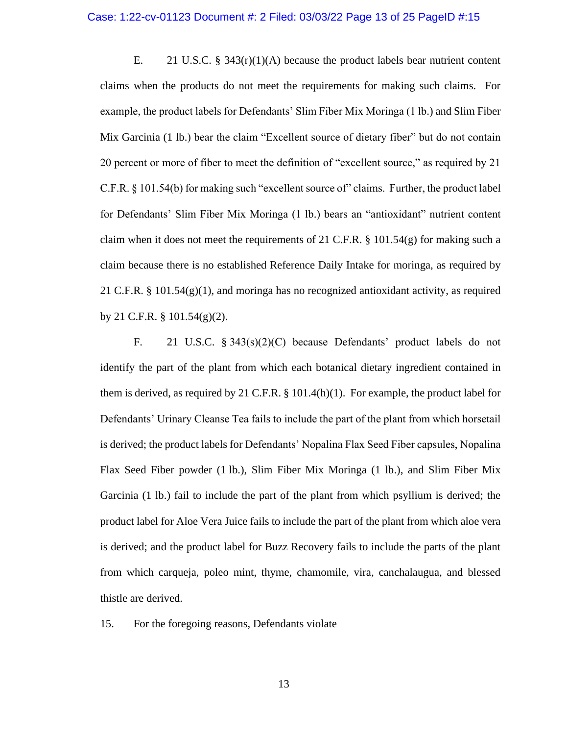E. 21 U.S.C. § 343(r)(1)(A) because the product labels bear nutrient content claims when the products do not meet the requirements for making such claims. For example, the product labels for Defendants' Slim Fiber Mix Moringa (1 lb.) and Slim Fiber Mix Garcinia (1 lb.) bear the claim "Excellent source of dietary fiber" but do not contain 20 percent or more of fiber to meet the definition of "excellent source," as required by 21 C.F.R. § 101.54(b) for making such "excellent source of" claims. Further, the product label for Defendants' Slim Fiber Mix Moringa (1 lb.) bears an "antioxidant" nutrient content claim when it does not meet the requirements of 21 C.F.R.  $\S$  101.54(g) for making such a claim because there is no established Reference Daily Intake for moringa, as required by 21 C.F.R. § 101.54(g)(1), and moringa has no recognized antioxidant activity, as required by 21 C.F.R. § 101.54(g)(2).

F. 21 U.S.C. § 343(s)(2)(C) because Defendants' product labels do not identify the part of the plant from which each botanical dietary ingredient contained in them is derived, as required by 21 C.F.R. § 101.4(h)(1). For example, the product label for Defendants' Urinary Cleanse Tea fails to include the part of the plant from which horsetail is derived; the product labels for Defendants' Nopalina Flax Seed Fiber capsules, Nopalina Flax Seed Fiber powder (1 lb.), Slim Fiber Mix Moringa (1 lb.), and Slim Fiber Mix Garcinia (1 lb.) fail to include the part of the plant from which psyllium is derived; the product label for Aloe Vera Juice fails to include the part of the plant from which aloe vera is derived; and the product label for Buzz Recovery fails to include the parts of the plant from which carqueja, poleo mint, thyme, chamomile, vira, canchalaugua, and blessed thistle are derived.

15. For the foregoing reasons, Defendants violate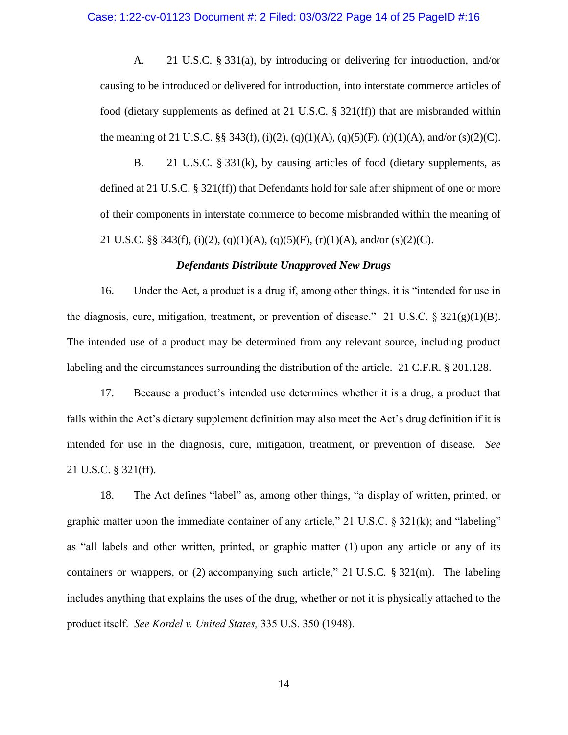### Case: 1:22-cv-01123 Document #: 2 Filed: 03/03/22 Page 14 of 25 PageID #:16

A. 21 U.S.C. § 331(a), by introducing or delivering for introduction, and/or causing to be introduced or delivered for introduction, into interstate commerce articles of food (dietary supplements as defined at 21 U.S.C. § 321(ff)) that are misbranded within the meaning of 21 U.S.C. §§ 343(f), (i)(2), (q)(1)(A), (q)(5)(F), (r)(1)(A), and/or (s)(2)(C).

B. 21 U.S.C. § 331(k), by causing articles of food (dietary supplements, as defined at 21 U.S.C. § 321(ff)) that Defendants hold for sale after shipment of one or more of their components in interstate commerce to become misbranded within the meaning of 21 U.S.C. §§ 343(f), (i)(2), (q)(1)(A), (q)(5)(F), (r)(1)(A), and/or (s)(2)(C).

### *Defendants Distribute Unapproved New Drugs*

16. Under the Act, a product is a drug if, among other things, it is "intended for use in the diagnosis, cure, mitigation, treatment, or prevention of disease." 21 U.S.C.  $\S 321(g)(1)(B)$ . The intended use of a product may be determined from any relevant source, including product labeling and the circumstances surrounding the distribution of the article.21 C.F.R. § 201.128.

17. Because a product's intended use determines whether it is a drug, a product that falls within the Act's dietary supplement definition may also meet the Act's drug definition if it is intended for use in the diagnosis, cure, mitigation, treatment, or prevention of disease. *See*  21 U.S.C. § 321(ff).

18. The Act defines "label" as, among other things, "a display of written, printed, or graphic matter upon the immediate container of any article," 21 U.S.C. § 321(k); and "labeling" as "all labels and other written, printed, or graphic matter (1) upon any article or any of its containers or wrappers, or (2) accompanying such article," 21 U.S.C. § 321(m). The labeling includes anything that explains the uses of the drug, whether or not it is physically attached to the product itself. *See Kordel v. United States,* 335 U.S. 350 (1948).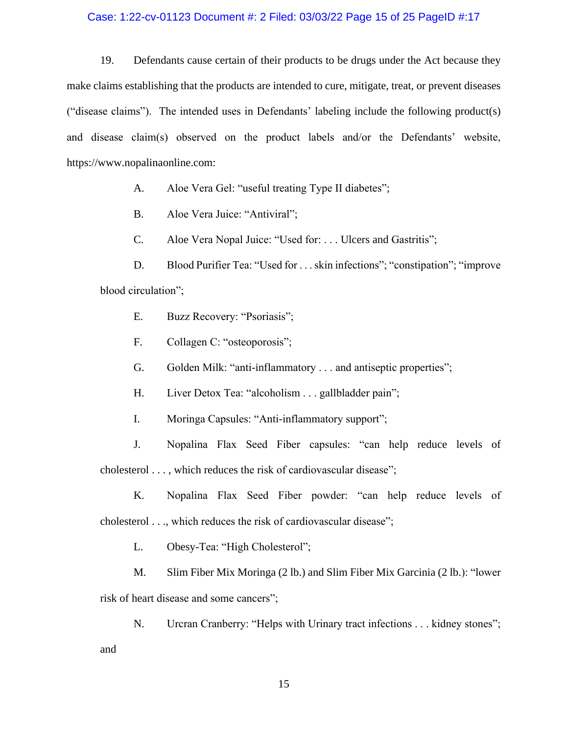### Case: 1:22-cv-01123 Document #: 2 Filed: 03/03/22 Page 15 of 25 PageID #:17

19. Defendants cause certain of their products to be drugs under the Act because they make claims establishing that the products are intended to cure, mitigate, treat, or prevent diseases ("disease claims"). The intended uses in Defendants' labeling include the following product(s) and disease claim(s) observed on the product labels and/or the Defendants' website, https://www.nopalinaonline.com:

- A. Aloe Vera Gel: "useful treating Type II diabetes";
- B. Aloe Vera Juice: "Antiviral";
- C. Aloe Vera Nopal Juice: "Used for: . . . Ulcers and Gastritis";

D. Blood Purifier Tea: "Used for . . . skin infections"; "constipation"; "improve blood circulation";

- E. Buzz Recovery: "Psoriasis";
- F. Collagen C: "osteoporosis";
- G. Golden Milk: "anti-inflammatory . . . and antiseptic properties";
- H. Liver Detox Tea: "alcoholism . . . gallbladder pain";
- I. Moringa Capsules: "Anti-inflammatory support";

J. Nopalina Flax Seed Fiber capsules: "can help reduce levels of cholesterol . . . , which reduces the risk of cardiovascular disease";

- K. Nopalina Flax Seed Fiber powder: "can help reduce levels of cholesterol . . ., which reduces the risk of cardiovascular disease";
	- L. Obesy-Tea: "High Cholesterol";

M. Slim Fiber Mix Moringa (2 lb.) and Slim Fiber Mix Garcinia (2 lb.): "lower risk of heart disease and some cancers";

N. Urcran Cranberry: "Helps with Urinary tract infections . . . kidney stones"; and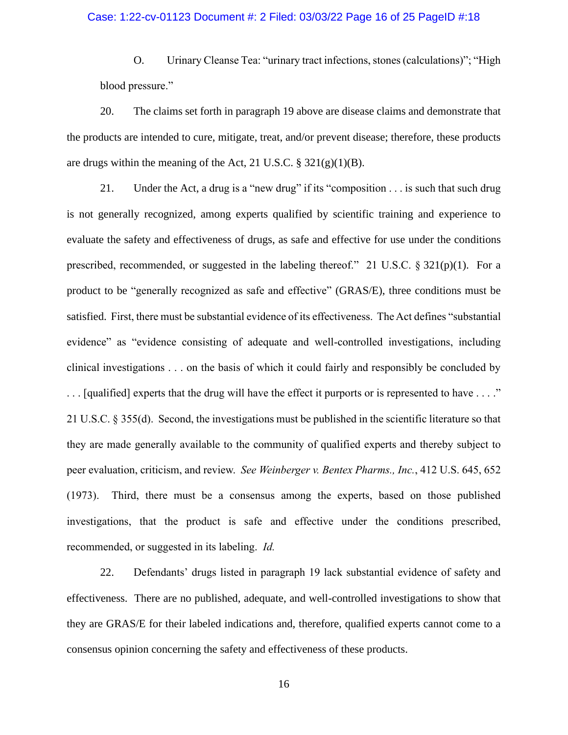### Case: 1:22-cv-01123 Document #: 2 Filed: 03/03/22 Page 16 of 25 PageID #:18

O. Urinary Cleanse Tea: "urinary tract infections, stones (calculations)"; "High blood pressure."

20. The claims set forth in paragraph 19 above are disease claims and demonstrate that the products are intended to cure, mitigate, treat, and/or prevent disease; therefore, these products are drugs within the meaning of the Act, 21 U.S.C.  $\S 321(g)(1)(B)$ .

21. Under the Act, a drug is a "new drug" if its "composition . . . is such that such drug is not generally recognized, among experts qualified by scientific training and experience to evaluate the safety and effectiveness of drugs, as safe and effective for use under the conditions prescribed, recommended, or suggested in the labeling thereof." 21 U.S.C. § 321(p)(1). For a product to be "generally recognized as safe and effective" (GRAS/E), three conditions must be satisfied. First, there must be substantial evidence of its effectiveness. The Act defines "substantial evidence" as "evidence consisting of adequate and well-controlled investigations, including clinical investigations . . . on the basis of which it could fairly and responsibly be concluded by . . . [qualified] experts that the drug will have the effect it purports or is represented to have . . . ." 21 U.S.C. § 355(d). Second, the investigations must be published in the scientific literature so that they are made generally available to the community of qualified experts and thereby subject to peer evaluation, criticism, and review. *See Weinberger v. Bentex Pharms., Inc.*, 412 U.S. 645, 652 (1973). Third, there must be a consensus among the experts, based on those published investigations, that the product is safe and effective under the conditions prescribed, recommended, or suggested in its labeling. *Id.*

22. Defendants' drugs listed in paragraph 19 lack substantial evidence of safety and effectiveness. There are no published, adequate, and well-controlled investigations to show that they are GRAS/E for their labeled indications and, therefore, qualified experts cannot come to a consensus opinion concerning the safety and effectiveness of these products.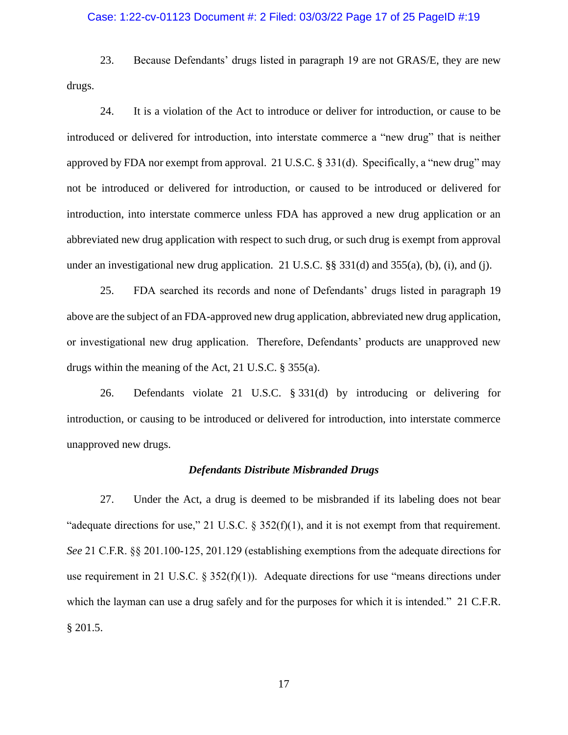### Case: 1:22-cv-01123 Document #: 2 Filed: 03/03/22 Page 17 of 25 PageID #:19

23. Because Defendants' drugs listed in paragraph 19 are not GRAS/E, they are new drugs.

24. It is a violation of the Act to introduce or deliver for introduction, or cause to be introduced or delivered for introduction, into interstate commerce a "new drug" that is neither approved by FDA nor exempt from approval. 21 U.S.C. § 331(d). Specifically, a "new drug" may not be introduced or delivered for introduction, or caused to be introduced or delivered for introduction, into interstate commerce unless FDA has approved a new drug application or an abbreviated new drug application with respect to such drug, or such drug is exempt from approval under an investigational new drug application. 21 U.S.C. §§ 331(d) and 355(a), (b), (i), and (j).

25. FDA searched its records and none of Defendants' drugs listed in paragraph 19 above are the subject of an FDA-approved new drug application, abbreviated new drug application, or investigational new drug application. Therefore, Defendants' products are unapproved new drugs within the meaning of the Act, 21 U.S.C. § 355(a).

26. Defendants violate 21 U.S.C. § 331(d) by introducing or delivering for introduction, or causing to be introduced or delivered for introduction, into interstate commerce unapproved new drugs.

#### *Defendants Distribute Misbranded Drugs*

27. Under the Act, a drug is deemed to be misbranded if its labeling does not bear "adequate directions for use," 21 U.S.C.  $\S 352(f)(1)$ , and it is not exempt from that requirement. *See* 21 C.F.R. §§ 201.100-125, 201.129 (establishing exemptions from the adequate directions for use requirement in 21 U.S.C.  $\S 352(f)(1)$ . Adequate directions for use "means directions under which the layman can use a drug safely and for the purposes for which it is intended." 21 C.F.R. § 201.5.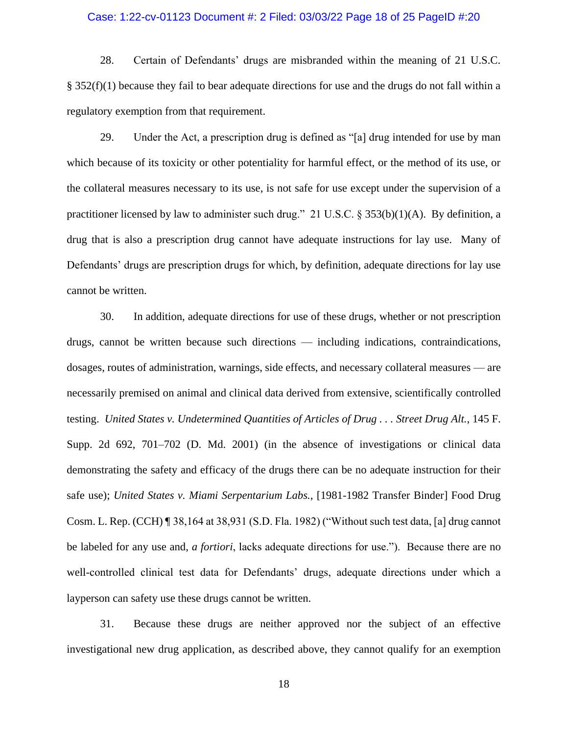### Case: 1:22-cv-01123 Document #: 2 Filed: 03/03/22 Page 18 of 25 PageID #:20

28. Certain of Defendants' drugs are misbranded within the meaning of 21 U.S.C. § 352(f)(1) because they fail to bear adequate directions for use and the drugs do not fall within a regulatory exemption from that requirement.

29. Under the Act, a prescription drug is defined as "[a] drug intended for use by man which because of its toxicity or other potentiality for harmful effect, or the method of its use, or the collateral measures necessary to its use, is not safe for use except under the supervision of a practitioner licensed by law to administer such drug." 21 U.S.C. § 353(b)(1)(A). By definition, a drug that is also a prescription drug cannot have adequate instructions for lay use. Many of Defendants' drugs are prescription drugs for which, by definition, adequate directions for lay use cannot be written.

30. In addition, adequate directions for use of these drugs, whether or not prescription drugs, cannot be written because such directions — including indications, contraindications, dosages, routes of administration, warnings, side effects, and necessary collateral measures — are necessarily premised on animal and clinical data derived from extensive, scientifically controlled testing. *United States v. Undetermined Quantities of Articles of Drug . . . Street Drug Alt.*, 145 F. Supp. 2d 692, 701–702 (D. Md. 2001) (in the absence of investigations or clinical data demonstrating the safety and efficacy of the drugs there can be no adequate instruction for their safe use); *United States v. Miami Serpentarium Labs.*, [1981-1982 Transfer Binder] Food Drug Cosm. L. Rep. (CCH) ¶ 38,164 at 38,931 (S.D. Fla. 1982) ("Without such test data, [a] drug cannot be labeled for any use and, *a fortiori*, lacks adequate directions for use."). Because there are no well-controlled clinical test data for Defendants' drugs, adequate directions under which a layperson can safety use these drugs cannot be written.

31. Because these drugs are neither approved nor the subject of an effective investigational new drug application, as described above, they cannot qualify for an exemption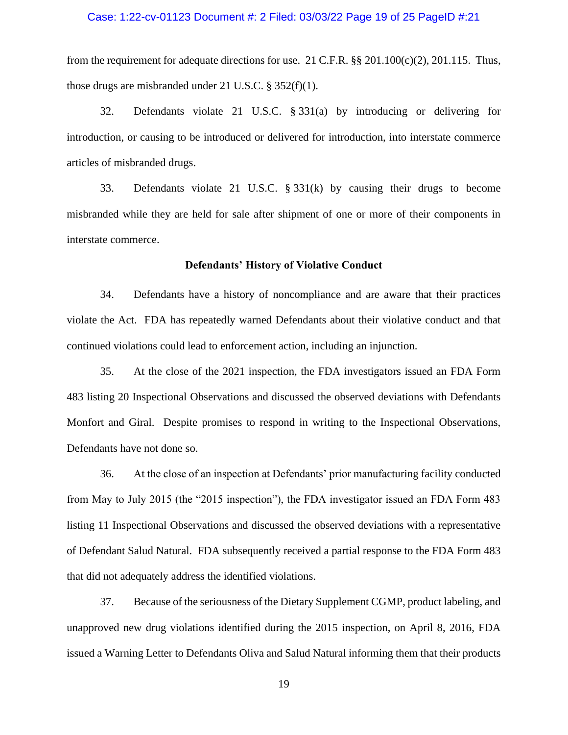## Case: 1:22-cv-01123 Document #: 2 Filed: 03/03/22 Page 19 of 25 PageID #:21

from the requirement for adequate directions for use. 21 C.F.R. §§ 201.100(c)(2), 201.115. Thus, those drugs are misbranded under 21 U.S.C. § 352(f)(1).

32. Defendants violate 21 U.S.C. § 331(a) by introducing or delivering for introduction, or causing to be introduced or delivered for introduction, into interstate commerce articles of misbranded drugs.

33. Defendants violate 21 U.S.C. § 331(k) by causing their drugs to become misbranded while they are held for sale after shipment of one or more of their components in interstate commerce.

#### **Defendants' History of Violative Conduct**

34. Defendants have a history of noncompliance and are aware that their practices violate the Act. FDA has repeatedly warned Defendants about their violative conduct and that continued violations could lead to enforcement action, including an injunction.

35. At the close of the 2021 inspection, the FDA investigators issued an FDA Form 483 listing 20 Inspectional Observations and discussed the observed deviations with Defendants Monfort and Giral. Despite promises to respond in writing to the Inspectional Observations, Defendants have not done so.

36. At the close of an inspection at Defendants' prior manufacturing facility conducted from May to July 2015 (the "2015 inspection"), the FDA investigator issued an FDA Form 483 listing 11 Inspectional Observations and discussed the observed deviations with a representative of Defendant Salud Natural. FDA subsequently received a partial response to the FDA Form 483 that did not adequately address the identified violations.

37. Because of the seriousness of the Dietary Supplement CGMP, product labeling, and unapproved new drug violations identified during the 2015 inspection, on April 8, 2016, FDA issued a Warning Letter to Defendants Oliva and Salud Natural informing them that their products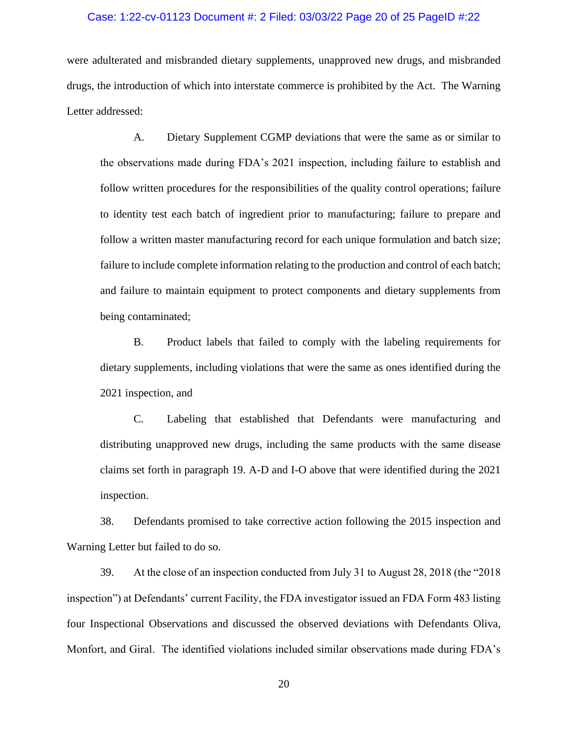### Case: 1:22-cv-01123 Document #: 2 Filed: 03/03/22 Page 20 of 25 PageID #:22

were adulterated and misbranded dietary supplements, unapproved new drugs, and misbranded drugs, the introduction of which into interstate commerce is prohibited by the Act. The Warning Letter addressed:

A. Dietary Supplement CGMP deviations that were the same as or similar to the observations made during FDA's 2021 inspection, including failure to establish and follow written procedures for the responsibilities of the quality control operations; failure to identity test each batch of ingredient prior to manufacturing; failure to prepare and follow a written master manufacturing record for each unique formulation and batch size; failure to include complete information relating to the production and control of each batch; and failure to maintain equipment to protect components and dietary supplements from being contaminated;

B. Product labels that failed to comply with the labeling requirements for dietary supplements, including violations that were the same as ones identified during the 2021 inspection, and

C. Labeling that established that Defendants were manufacturing and distributing unapproved new drugs, including the same products with the same disease claims set forth in paragraph 19. A-D and I-O above that were identified during the 2021 inspection.

38. Defendants promised to take corrective action following the 2015 inspection and Warning Letter but failed to do so.

39. At the close of an inspection conducted from July 31 to August 28, 2018 (the "2018 inspection") at Defendants' current Facility, the FDA investigator issued an FDA Form 483 listing four Inspectional Observations and discussed the observed deviations with Defendants Oliva, Monfort, and Giral. The identified violations included similar observations made during FDA's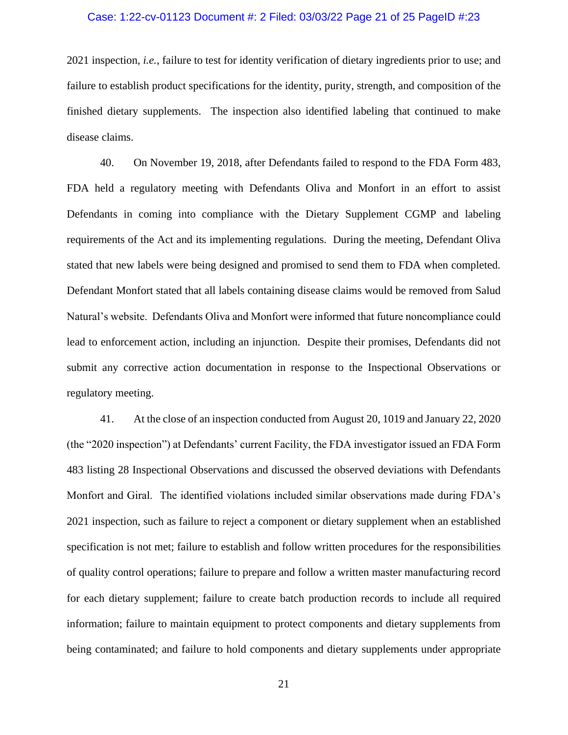#### Case: 1:22-cv-01123 Document #: 2 Filed: 03/03/22 Page 21 of 25 PageID #:23

2021 inspection, *i.e.*, failure to test for identity verification of dietary ingredients prior to use; and failure to establish product specifications for the identity, purity, strength, and composition of the finished dietary supplements. The inspection also identified labeling that continued to make disease claims.

40. On November 19, 2018, after Defendants failed to respond to the FDA Form 483, FDA held a regulatory meeting with Defendants Oliva and Monfort in an effort to assist Defendants in coming into compliance with the Dietary Supplement CGMP and labeling requirements of the Act and its implementing regulations. During the meeting, Defendant Oliva stated that new labels were being designed and promised to send them to FDA when completed. Defendant Monfort stated that all labels containing disease claims would be removed from Salud Natural's website. Defendants Oliva and Monfort were informed that future noncompliance could lead to enforcement action, including an injunction. Despite their promises, Defendants did not submit any corrective action documentation in response to the Inspectional Observations or regulatory meeting.

41. At the close of an inspection conducted from August 20, 1019 and January 22, 2020 (the "2020 inspection") at Defendants' current Facility, the FDA investigator issued an FDA Form 483 listing 28 Inspectional Observations and discussed the observed deviations with Defendants Monfort and Giral. The identified violations included similar observations made during FDA's 2021 inspection, such as failure to reject a component or dietary supplement when an established specification is not met; failure to establish and follow written procedures for the responsibilities of quality control operations; failure to prepare and follow a written master manufacturing record for each dietary supplement; failure to create batch production records to include all required information; failure to maintain equipment to protect components and dietary supplements from being contaminated; and failure to hold components and dietary supplements under appropriate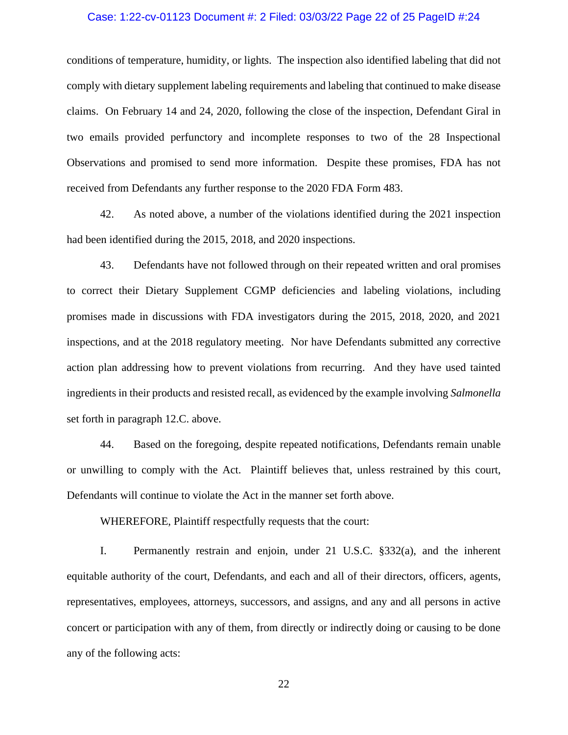### Case: 1:22-cv-01123 Document #: 2 Filed: 03/03/22 Page 22 of 25 PageID #:24

conditions of temperature, humidity, or lights. The inspection also identified labeling that did not comply with dietary supplement labeling requirements and labeling that continued to make disease claims. On February 14 and 24, 2020, following the close of the inspection, Defendant Giral in two emails provided perfunctory and incomplete responses to two of the 28 Inspectional Observations and promised to send more information. Despite these promises, FDA has not received from Defendants any further response to the 2020 FDA Form 483.

42. As noted above, a number of the violations identified during the 2021 inspection had been identified during the 2015, 2018, and 2020 inspections.

43. Defendants have not followed through on their repeated written and oral promises to correct their Dietary Supplement CGMP deficiencies and labeling violations, including promises made in discussions with FDA investigators during the 2015, 2018, 2020, and 2021 inspections, and at the 2018 regulatory meeting. Nor have Defendants submitted any corrective action plan addressing how to prevent violations from recurring. And they have used tainted ingredients in their products and resisted recall, as evidenced by the example involving *Salmonella* set forth in paragraph 12.C. above.

44. Based on the foregoing, despite repeated notifications, Defendants remain unable or unwilling to comply with the Act. Plaintiff believes that, unless restrained by this court, Defendants will continue to violate the Act in the manner set forth above.

WHEREFORE, Plaintiff respectfully requests that the court:

I. Permanently restrain and enjoin, under 21 U.S.C. §332(a), and the inherent equitable authority of the court, Defendants, and each and all of their directors, officers, agents, representatives, employees, attorneys, successors, and assigns, and any and all persons in active concert or participation with any of them, from directly or indirectly doing or causing to be done any of the following acts: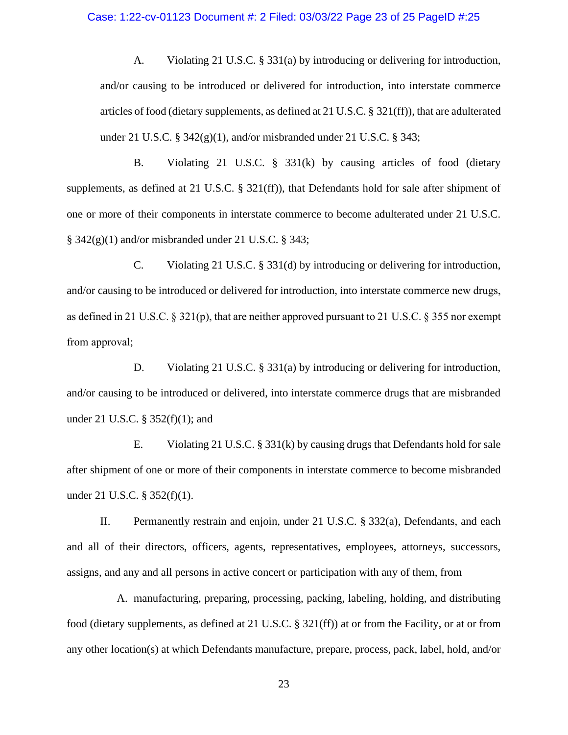### Case: 1:22-cv-01123 Document #: 2 Filed: 03/03/22 Page 23 of 25 PageID #:25

A. Violating 21 U.S.C. § 331(a) by introducing or delivering for introduction, and/or causing to be introduced or delivered for introduction, into interstate commerce articles of food (dietary supplements, as defined at 21 U.S.C. § 321(ff)), that are adulterated under 21 U.S.C.  $\S$  342(g)(1), and/or misbranded under 21 U.S.C.  $\S$  343;

B. Violating 21 U.S.C. § 331(k) by causing articles of food (dietary supplements, as defined at 21 U.S.C. § 321(ff)), that Defendants hold for sale after shipment of one or more of their components in interstate commerce to become adulterated under 21 U.S.C.  $\S$  342(g)(1) and/or misbranded under 21 U.S.C.  $\S$  343;

C. Violating 21 U.S.C. § 331(d) by introducing or delivering for introduction, and/or causing to be introduced or delivered for introduction, into interstate commerce new drugs, as defined in 21 U.S.C. § 321(p), that are neither approved pursuant to 21 U.S.C. § 355 nor exempt from approval;

D. Violating 21 U.S.C. § 331(a) by introducing or delivering for introduction, and/or causing to be introduced or delivered, into interstate commerce drugs that are misbranded under 21 U.S.C. § 352(f)(1); and

E. Violating 21 U.S.C. § 331(k) by causing drugs that Defendants hold for sale after shipment of one or more of their components in interstate commerce to become misbranded under 21 U.S.C. § 352(f)(1).

II. Permanently restrain and enjoin, under 21 U.S.C. § 332(a), Defendants, and each and all of their directors, officers, agents, representatives, employees, attorneys, successors, assigns, and any and all persons in active concert or participation with any of them, from

A. manufacturing, preparing, processing, packing, labeling, holding, and distributing food (dietary supplements, as defined at 21 U.S.C. § 321(ff)) at or from the Facility, or at or from any other location(s) at which Defendants manufacture, prepare, process, pack, label, hold, and/or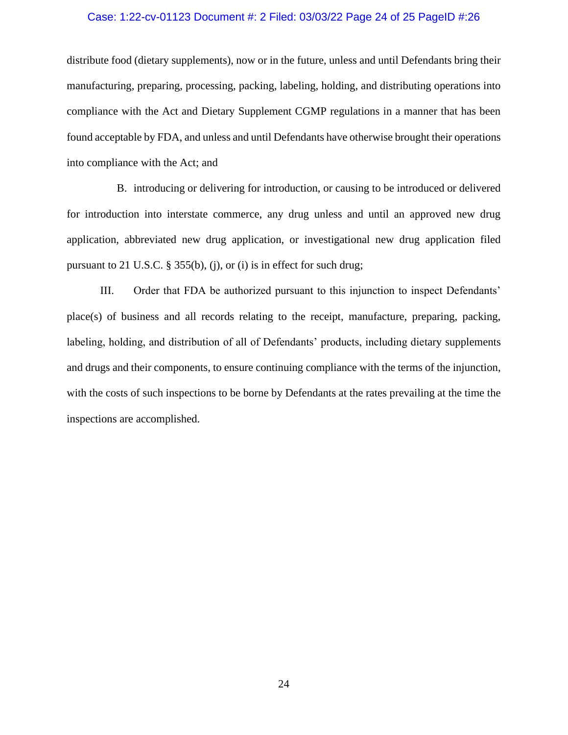#### Case: 1:22-cv-01123 Document #: 2 Filed: 03/03/22 Page 24 of 25 PageID #:26

distribute food (dietary supplements), now or in the future, unless and until Defendants bring their manufacturing, preparing, processing, packing, labeling, holding, and distributing operations into compliance with the Act and Dietary Supplement CGMP regulations in a manner that has been found acceptable by FDA, and unless and until Defendants have otherwise brought their operations into compliance with the Act; and

B. introducing or delivering for introduction, or causing to be introduced or delivered for introduction into interstate commerce, any drug unless and until an approved new drug application, abbreviated new drug application, or investigational new drug application filed pursuant to 21 U.S.C. § 355(b), (j), or (i) is in effect for such drug;

III. Order that FDA be authorized pursuant to this injunction to inspect Defendants' place(s) of business and all records relating to the receipt, manufacture, preparing, packing, labeling, holding, and distribution of all of Defendants' products, including dietary supplements and drugs and their components, to ensure continuing compliance with the terms of the injunction, with the costs of such inspections to be borne by Defendants at the rates prevailing at the time the inspections are accomplished.